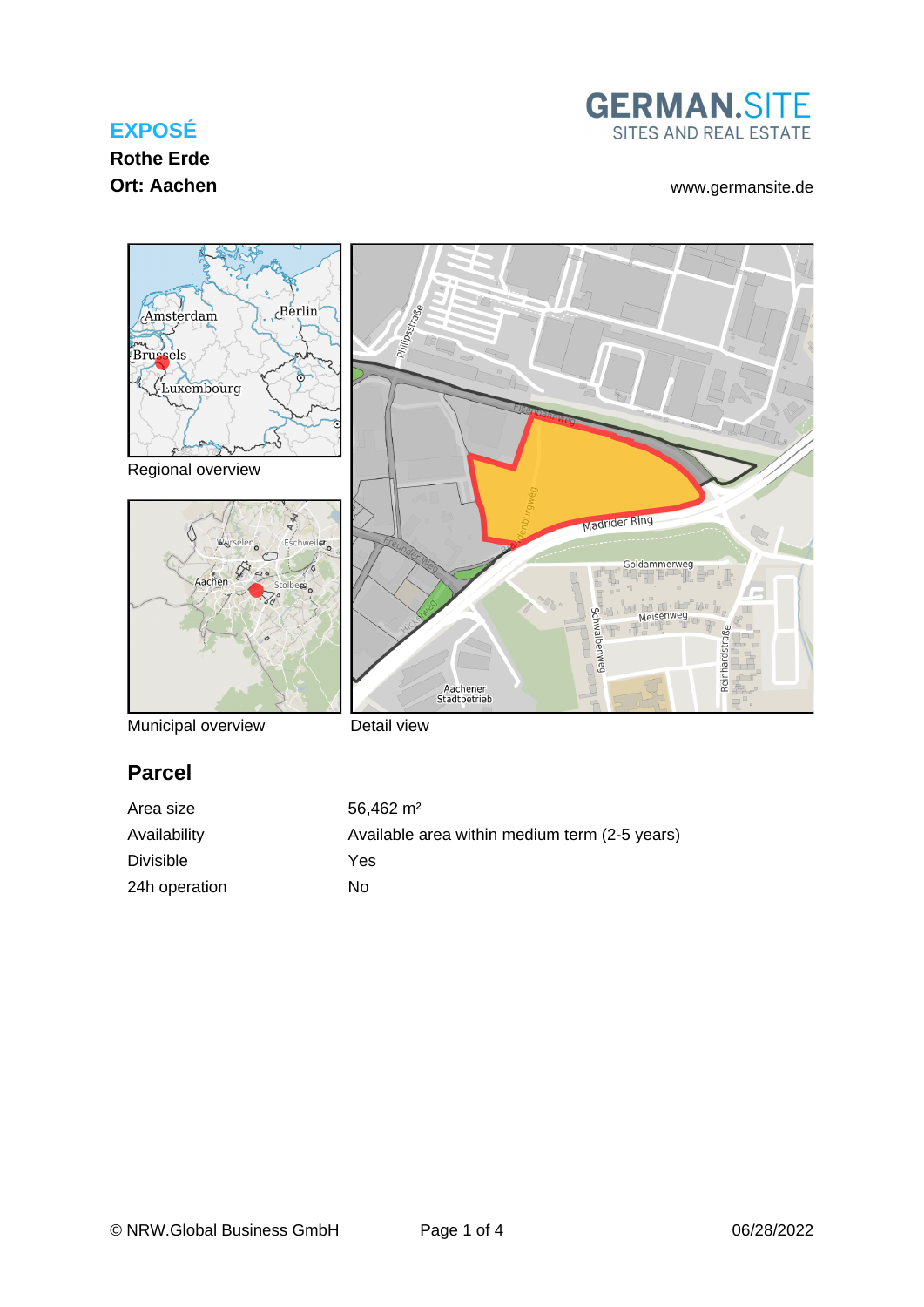## **EXPOSÉ**

# **Rothe Erde**



#### **Ort: Aachen** [www.germansite.de](http://www.germansite.de)



Municipal overview

Detail view

# **Parcel**

| Area size        | $56.462 \; \text{m}^2$                        |
|------------------|-----------------------------------------------|
| Availability     | Available area within medium term (2-5 years) |
| <b>Divisible</b> | Yes                                           |
| 24h operation    | Nο                                            |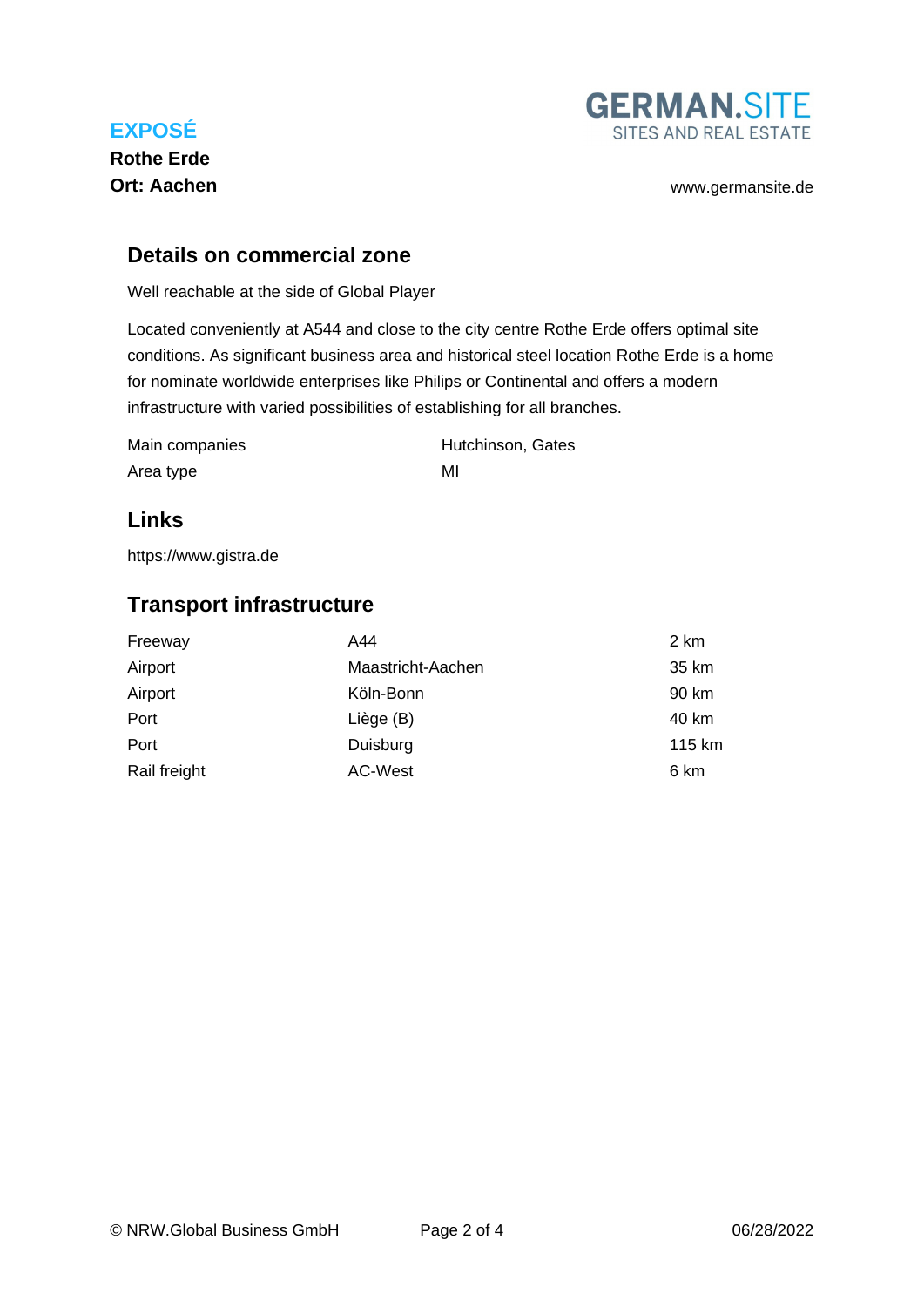

**Rothe Erde**



#### **Details on commercial zone**

Well reachable at the side of Global Player

Located conveniently at A544 and close to the city centre Rothe Erde offers optimal site conditions. As significant business area and historical steel location Rothe Erde is a home for nominate worldwide enterprises like Philips or Continental and offers a modern infrastructure with varied possibilities of establishing for all branches.

| Main companies | Hutchinson, Gates |
|----------------|-------------------|
| Area type      | MI                |

#### **Links**

<https://www.gistra.de>

#### **Transport infrastructure**

| Freeway      | A44               | 2 km   |
|--------------|-------------------|--------|
| Airport      | Maastricht-Aachen | 35 km  |
| Airport      | Köln-Bonn         | 90 km  |
| Port         | Liège (B)         | 40 km  |
| Port         | Duisburg          | 115 km |
| Rail freight | AC-West           | 6 km   |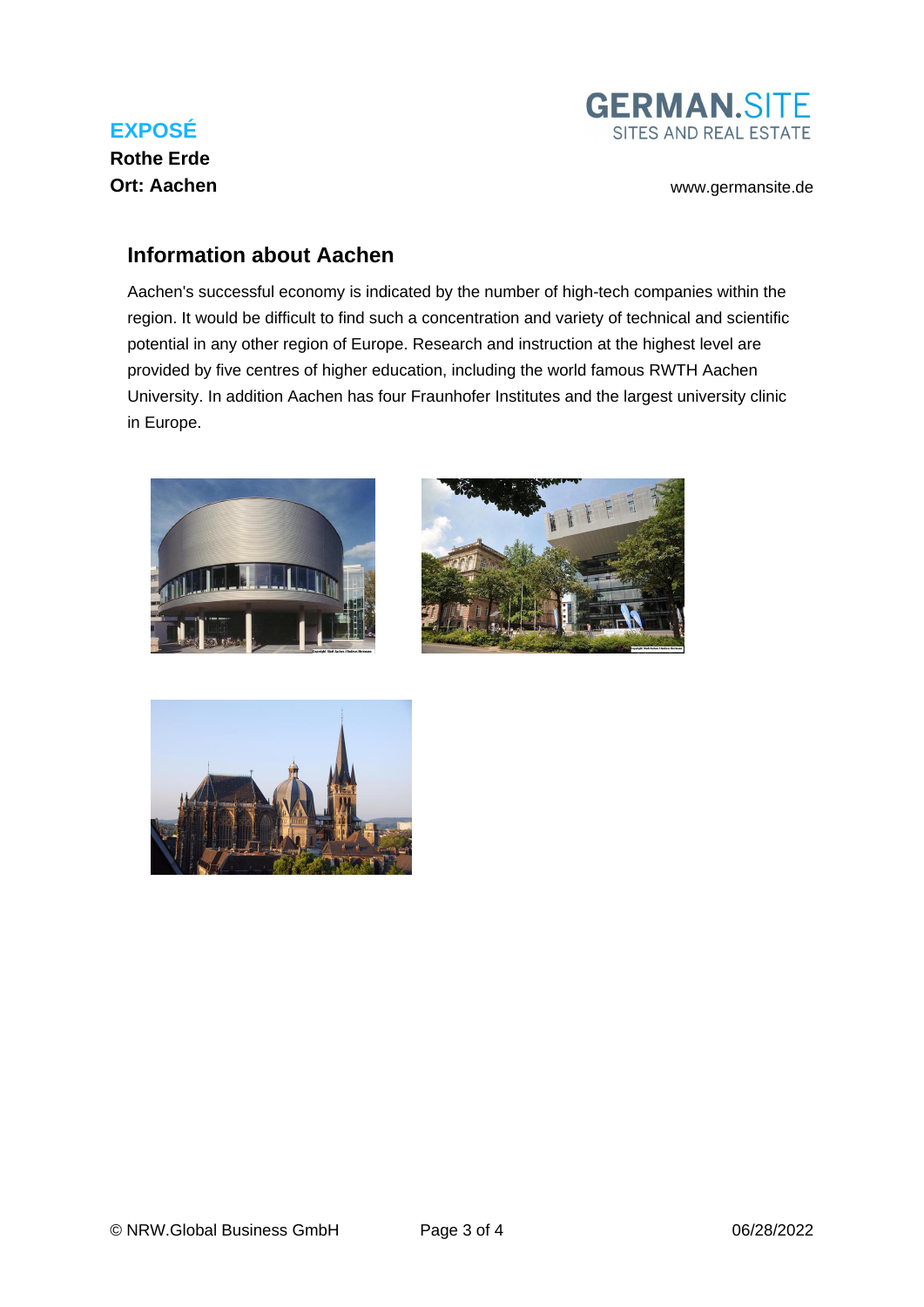

## **GERMAN.SITE** SITES AND REAL ESTATE

**Ort: Aachen** [www.germansite.de](http://www.germansite.de)

#### **Information about Aachen**

Aachen's successful economy is indicated by the number of high-tech companies within the region. It would be difficult to find such a concentration and variety of technical and scientific potential in any other region of Europe. Research and instruction at the highest level are provided by five centres of higher education, including the world famous RWTH Aachen University. In addition Aachen has four Fraunhofer Institutes and the largest university clinic in Europe.